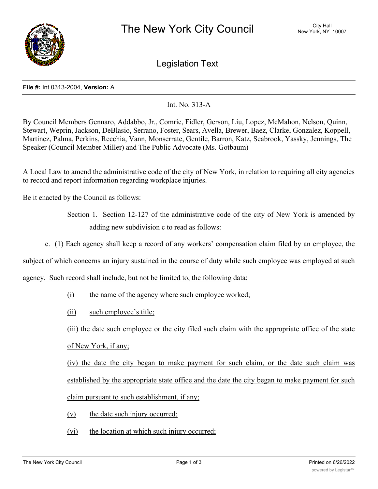

Legislation Text

## **File #:** Int 0313-2004, **Version:** A

## Int. No. 313-A

By Council Members Gennaro, Addabbo, Jr., Comrie, Fidler, Gerson, Liu, Lopez, McMahon, Nelson, Quinn, Stewart, Weprin, Jackson, DeBlasio, Serrano, Foster, Sears, Avella, Brewer, Baez, Clarke, Gonzalez, Koppell, Martinez, Palma, Perkins, Recchia, Vann, Monserrate, Gentile, Barron, Katz, Seabrook, Yassky, Jennings, The Speaker (Council Member Miller) and The Public Advocate (Ms. Gotbaum)

A Local Law to amend the administrative code of the city of New York, in relation to requiring all city agencies to record and report information regarding workplace injuries.

Be it enacted by the Council as follows:

Section 1. Section 12-127 of the administrative code of the city of New York is amended by adding new subdivision c to read as follows:

c. (1) Each agency shall keep a record of any workers' compensation claim filed by an employee, the

subject of which concerns an injury sustained in the course of duty while such employee was employed at such

agency. Such record shall include, but not be limited to, the following data:

- (i) the name of the agency where such employee worked;
- (ii) such employee's title;

(iii) the date such employee or the city filed such claim with the appropriate office of the state of New York, if any;

(iv) the date the city began to make payment for such claim, or the date such claim was established by the appropriate state office and the date the city began to make payment for such claim pursuant to such establishment, if any;

- (v) the date such injury occurred;
- (vi) the location at which such injury occurred;